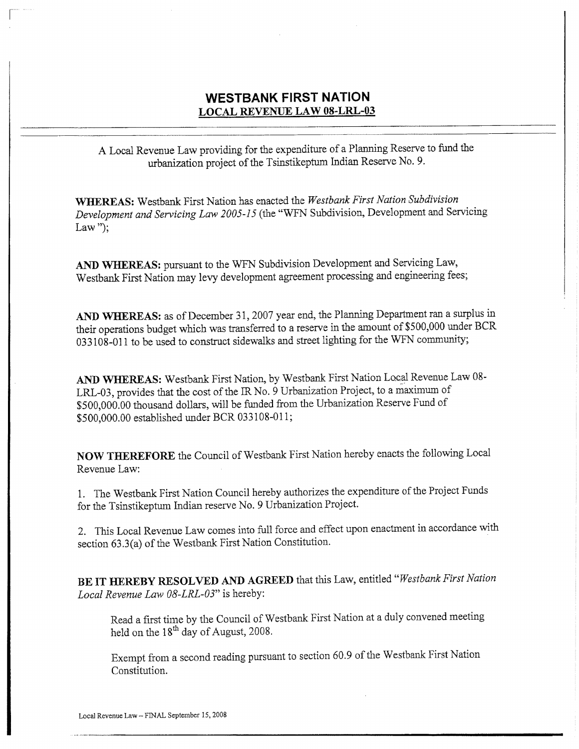## WESTBANK FIRST NATION LOCAL REVENUE LAW 08-LRL-03

A Local Revenue Law providing for the expenditure of <sup>a</sup> Planning Reserve to fund the urbanization project of the Tsinstikeptum Indian Reserve No. 9.

WHEREAS: Westbank First Nation has enacted the Westbank First Nation Subdivision Development and Servicing Law 2005-15 (the "WFN Subdivision, Development and Servicing Law");

AND WHEREAS: pursuant to the WFN Subdivision Development and Servicing Law, Westbank First Nation may levy development agreement processing and engineering fees;

AND WHEREAS: as of December 31, 2007 year end, the Planning Department ran <sup>a</sup> surplus in their operations budget which was transferred to a reserve in the amount of \$500,000 under BCR 033108 -011 to be used to construct sidewalks and street lighting for the WFN community;

AND WHEREAS: Westbank First Nation, by Westbank First Nation Local Revenue Law 08-LRL-03 , provides that the cost of the IR No. 9 Urbanization Project, to <sup>a</sup> maximum of AND WHEREAS: Westbank First Nation, by Westbank First Nation Local Revenue<br>LRL-03, provides that the cost of the IR No. 9 Urbanization Project, to a maximum of<br>\$500,000.00 thousand dollars, will be funded from the Urbaniza LRL-03, provides that the cost of the IR No. 9 Urb<br>\$500,000.00 thousand dollars, will be funded from<br>\$500,000.00 established under BCR 033108-011;

NOW THEREFORE the Council of Westbank First Nation hereby enacts the following Local Revenue Law:

1. The Westbank First Nation Council hereby authorizes the expenditure of the Project Funds for the Tsinstikeptum Indian reserve No. 9 Urbanization Project.

2. This Local Revenue Law comes into full force and effect upon enactment in accordance with<br>section 63.3(a) of the Westbank First Nation Constitution.<br>BE IT HEREBY RESOLVED AND AGREED that this Law, entitled "*Westbank Fi* section 63.3(a) of the Westbank First Nation Constitution.

BE IT HEREBY RESOLVED AND AGREED that this Law, entitled "Westbank First Nation Local Revenue Law 08-LRL-03" is hereby:

Read <sup>a</sup> first time by the Council of Westbank First Nation at <sup>a</sup> duly convened meeting held on the  $18<sup>th</sup>$  day of August, 2008.

Exempt from <sup>a</sup> second reading pursuant to section 60.9 of the Westbank First Nation Constitution.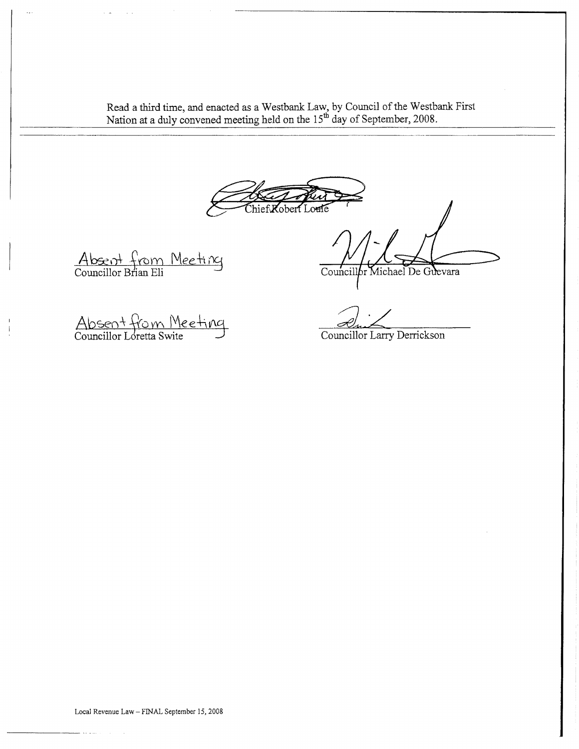Read a third time, and enacted as a Westbank Law, by Council of the Westbank First Nation at a duly convened meeting held on the  $15<sup>th</sup>$  day of September, 2008.

hief Kobert Louie

Absent from Meeting<br>Councillor Brian Eli

Councillor Michael De Guevara

Absent from Meeting<br>Councillor Loretta Swite

2 - Zuite de la Perrickson<br>Councillor Larry Derrickson

Local Revenue Law - FINAL September 15, 2008